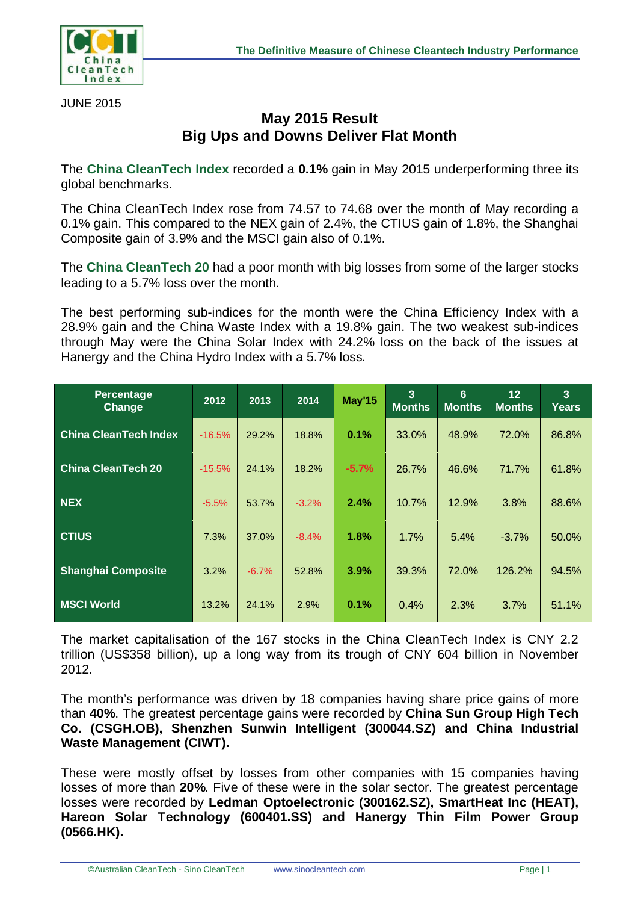

JUNE 2015

## **May 2015 Result Big Ups and Downs Deliver Flat Month**

The **China CleanTech Index** recorded a **0.1%** gain in May 2015 underperforming three its global benchmarks.

The China CleanTech Index rose from 74.57 to 74.68 over the month of May recording a 0.1% gain. This compared to the NEX gain of 2.4%, the CTIUS gain of 1.8%, the Shanghai Composite gain of 3.9% and the MSCI gain also of 0.1%.

The **China CleanTech 20** had a poor month with big losses from some of the larger stocks leading to a 5.7% loss over the month.

The best performing sub-indices for the month were the China Efficiency Index with a 28.9% gain and the China Waste Index with a 19.8% gain. The two weakest sub-indices through May were the China Solar Index with 24.2% loss on the back of the issues at Hanergy and the China Hydro Index with a 5.7% loss.

| <b>Percentage</b><br><b>Change</b> | 2012     | 2013    | 2014    | <b>May'15</b> | $\overline{3}$<br><b>Months</b> | 6<br><b>Months</b> | 12<br><b>Months</b> | $\overline{3}$<br><b>Years</b> |
|------------------------------------|----------|---------|---------|---------------|---------------------------------|--------------------|---------------------|--------------------------------|
| <b>China CleanTech Index</b>       | $-16.5%$ | 29.2%   | 18.8%   | 0.1%          | 33.0%                           | 48.9%              | 72.0%               | 86.8%                          |
| <b>China CleanTech 20</b>          | $-15.5%$ | 24.1%   | 18.2%   | $-5.7%$       | 26.7%                           | 46.6%              | 71.7%               | 61.8%                          |
| <b>NEX</b>                         | $-5.5%$  | 53.7%   | $-3.2%$ | 2.4%          | 10.7%                           | 12.9%              | 3.8%                | 88.6%                          |
| <b>CTIUS</b>                       | 7.3%     | 37.0%   | $-8.4%$ | 1.8%          | 1.7%                            | 5.4%               | $-3.7%$             | 50.0%                          |
| <b>Shanghai Composite</b>          | 3.2%     | $-6.7%$ | 52.8%   | 3.9%          | 39.3%                           | 72.0%              | 126.2%              | 94.5%                          |
| <b>MSCI World</b>                  | 13.2%    | 24.1%   | 2.9%    | 0.1%          | 0.4%                            | 2.3%               | 3.7%                | 51.1%                          |

The market capitalisation of the 167 stocks in the China CleanTech Index is CNY 2.2 trillion (US\$358 billion), up a long way from its trough of CNY 604 billion in November 2012.

The month's performance was driven by 18 companies having share price gains of more than **40%**. The greatest percentage gains were recorded by **China Sun Group High Tech Co. (CSGH.OB), Shenzhen Sunwin Intelligent (300044.SZ) and China Industrial Waste Management (CIWT).** 

These were mostly offset by losses from other companies with 15 companies having losses of more than **20%**. Five of these were in the solar sector. The greatest percentage losses were recorded by **Ledman Optoelectronic (300162.SZ), SmartHeat Inc (HEAT), Hareon Solar Technology (600401.SS) and Hanergy Thin Film Power Group (0566.HK).**